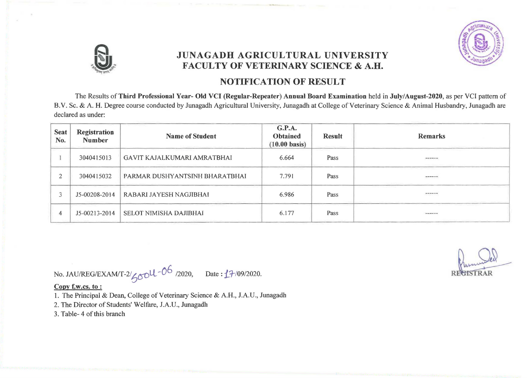

## JUNAGADH AGRICULTURAL UNIVERSITY FACULTY OF VETERINARY SCIENCE & A.H.

### NOTIFICATION OF RESULT

The Results of Third Professional Year- Old VCI (Regnlar-Repeater) Annual Board Examination held in July/August-2020, as per VCI pattern of B.v. Sc. & A. H. Degree course conducted by Junagadh Agricultural University, Junagadh at College of Veterinary Science & Animal Husbandry, Junagadh are declared as under:

| <b>Seat</b><br>No. | Registration<br><b>Number</b>            | <b>Name of Student</b>         | G.P.A.<br><b>Obtained</b><br>$(10.00 \text{ basis})$ | <b>Result</b> | <b>Remarks</b>                    |
|--------------------|------------------------------------------|--------------------------------|------------------------------------------------------|---------------|-----------------------------------|
|                    | 3040415013                               | GAVIT KAJALKUMARI AMRATBHAI    | 6.664                                                | Pass          | the age of the column rest        |
|                    | 3040415032                               | PARMAR DUSHYANTSINH BHARATBHAI | 7.791                                                | Pass          | $-$                               |
|                    | J5-00208-2014                            | RABARI JAYESH NAGJIBHAI        | 6.986                                                | Pass          | $\cdots$                          |
|                    | the company's company's<br>J5-00213-2014 | SELOT NIMISHA DAJIBHAI         | 6.177                                                | Pass          | permission and the control to the |

No. JAU/REG/EXAM/T-2/<sub>60</sub>0L-0<sup>6</sup> /2020, Date: **1**7/09/2020.

Copy f.w.cs. to:

1. The Principal & Dean, College of Veterinary Science & A.H., J.A.U., Junagadh

2. The Director of Students' Welfare, J.A.U., Junagadh

3. Table- 4 of this branch

**REEISTRAR**